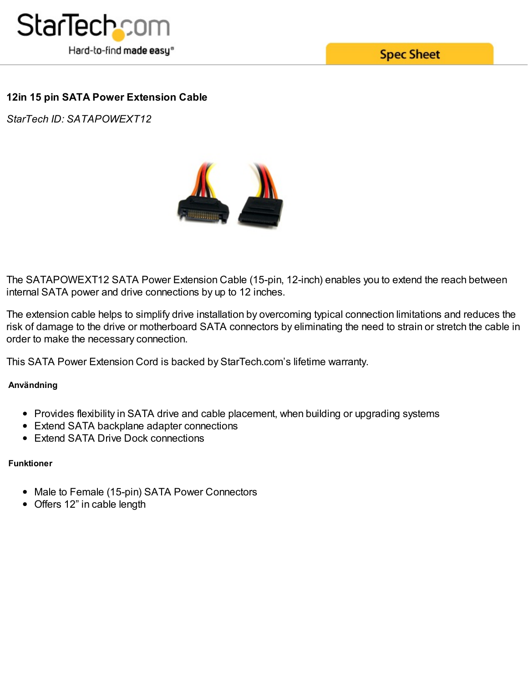

**Spec Sheet** 

## **12in 15 pin SATA Power Extension Cable**

*StarTech ID: SATAPOWEXT12*



The SATAPOWEXT12 SATA Power Extension Cable (15-pin, 12-inch) enables you to extend the reach between internal SATA power and drive connections by up to 12 inches.

The extension cable helps to simplify drive installation by overcoming typical connection limitations and reduces the risk of damage to the drive or motherboard SATA connectors by eliminating the need to strain or stretch the cable in order to make the necessary connection.

This SATA Power Extension Cord is backed by StarTech.com's lifetime warranty.

**Användning**

- Provides flexibility in SATA drive and cable placement, when building or upgrading systems
- Extend SATA backplane adapter connections
- Extend SATA Drive Dock connections

## **Funktioner**

- Male to Female (15-pin) SATA Power Connectors
- Offers 12" in cable length